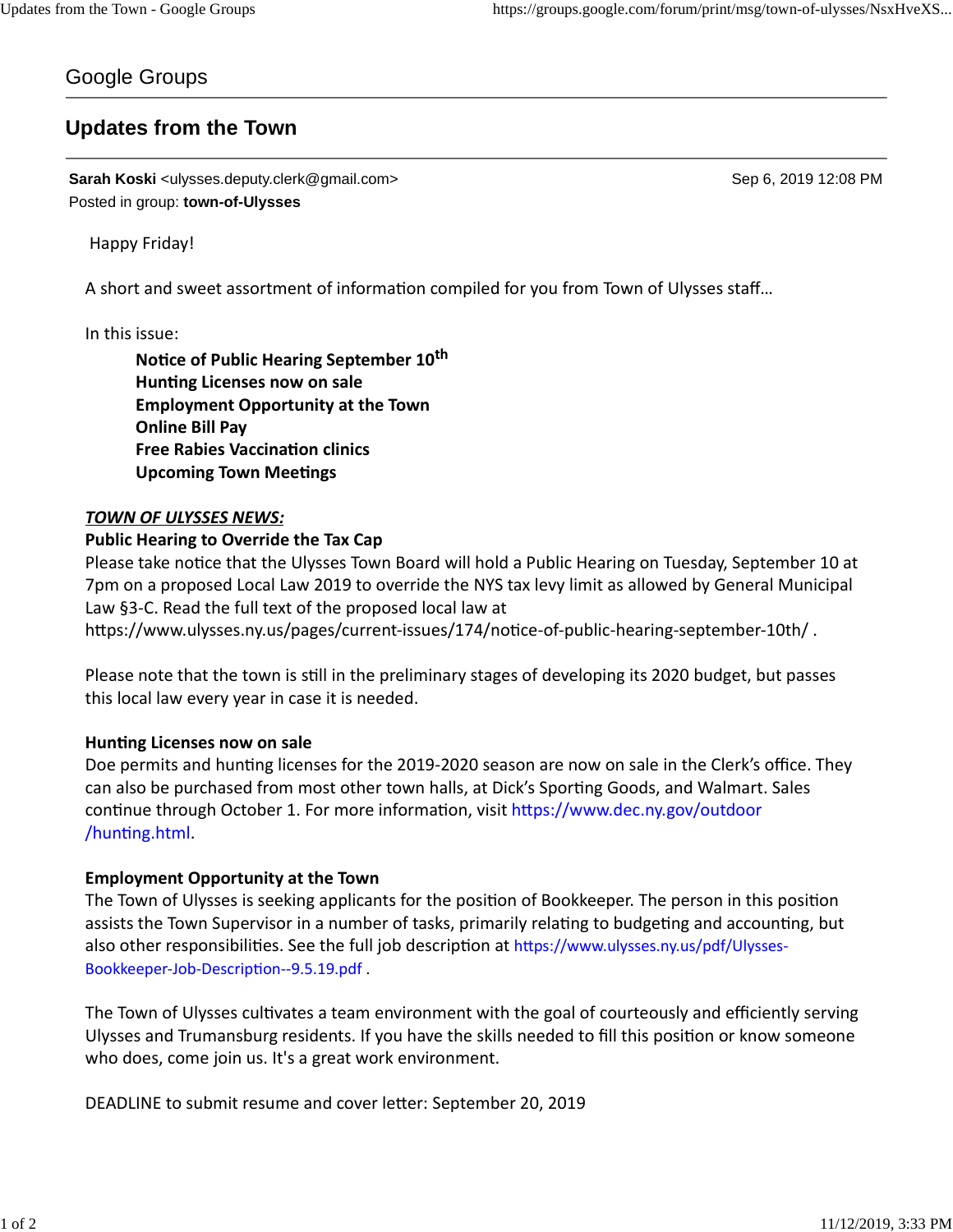# Google Groups

## **Updates from the Town**

**Sarah Koski** <ulysses.deputy.clerk@gmail.com> Sep 6, 2019 12:08 PM Posted in group: **town-of-Ulysses**

Happy Friday!

A short and sweet assortment of information compiled for you from Town of Ulysses staff...

In this issue:

**NoƟce of Public Hearing September 10th Hunting Licenses now on sale Employment Opportunity at the Town Online Bill Pay Free Rabies VaccinaƟon clinics Upcoming Town Meetings** 

## *TOWN OF ULYSSES NEWS:*

### **Public Hearing to Override the Tax Cap**

Please take notice that the Ulysses Town Board will hold a Public Hearing on Tuesday, September 10 at 7pm on a proposed Local Law 2019 to override the NYS tax levy limit as allowed by General Municipal Law §3-C. Read the full text of the proposed local law at

https://www.ulysses.ny.us/pages/current-issues/174/notice-of-public-hearing-september-10th/.

Please note that the town is still in the preliminary stages of developing its 2020 budget, but passes this local law every year in case it is needed.

#### **Hunting Licenses now on sale**

Doe permits and hunting licenses for the 2019-2020 season are now on sale in the Clerk's office. They can also be purchased from most other town halls, at Dick's Sporting Goods, and Walmart. Sales continue through October 1. For more information, visit https://www.dec.ny.gov/outdoor /hunting.html.

#### **Employment Opportunity at the Town**

The Town of Ulysses is seeking applicants for the position of Bookkeeper. The person in this position assists the Town Supervisor in a number of tasks, primarily relating to budgeting and accounting, but also other responsibilities. See the full job description at https://www.ulysses.ny.us/pdf/Ulysses-Bookkeeper-Job-Description--9.5.19.pdf.

The Town of Ulysses cultivates a team environment with the goal of courteously and efficiently serving Ulysses and Trumansburg residents. If you have the skills needed to fill this position or know someone who does, come join us. It's a great work environment.

DEADLINE to submit resume and cover letter: September 20, 2019